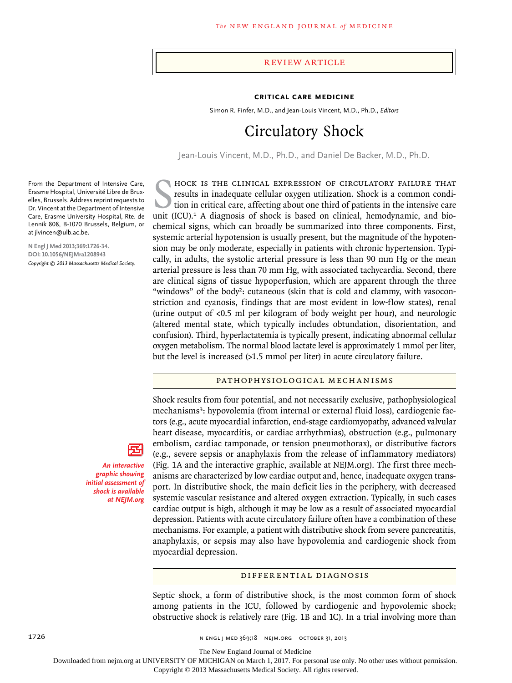#### review article

#### **critical care medicine**

Simon R. Finfer, M.D., and Jean-Louis Vincent, M.D., Ph.D., *Editors*

# Circulatory Shock

Jean-Louis Vincent, M.D., Ph.D., and Daniel De Backer, M.D., Ph.D.

SHOCK IS THE CLINICAL EXPRESSION OF CIRCULATORY FAILURE THAT results in inadequate cellular oxygen utilization. Shock is a common condition in critical care, affecting about one third of patients in the intensive care unit hock is the clinical expression of circulatory failure that results in inadequate cellular oxygen utilization. Shock is a common condition in critical care, affecting about one third of patients in the intensive care chemical signs, which can broadly be summarized into three components. First, systemic arterial hypotension is usually present, but the magnitude of the hypotension may be only moderate, especially in patients with chronic hypertension. Typically, in adults, the systolic arterial pressure is less than 90 mm Hg or the mean arterial pressure is less than 70 mm Hg, with associated tachycardia. Second, there are clinical signs of tissue hypoperfusion, which are apparent through the three "windows" of the body<sup>2</sup>: cutaneous (skin that is cold and clammy, with vasoconstriction and cyanosis, findings that are most evident in low-flow states), renal (urine output of <0.5 ml per kilogram of body weight per hour), and neurologic (altered mental state, which typically includes obtundation, disorientation, and confusion). Third, hyperlactatemia is typically present, indicating abnormal cellular oxygen metabolism. The normal blood lactate level is approximately 1 mmol per liter, but the level is increased (>1.5 mmol per liter) in acute circulatory failure.

## Pathophysiological Mechanisms

눈대 *An interactive graphic showing initial assessment of shock is available at NEJM.org* Shock results from four potential, and not necessarily exclusive, pathophysiological mechanisms<sup>3</sup>: hypovolemia (from internal or external fluid loss), cardiogenic factors (e.g., acute myocardial infarction, end-stage cardiomyopathy, advanced valvular heart disease, myocarditis, or cardiac arrhythmias), obstruction (e.g., pulmonary embolism, cardiac tamponade, or tension pneumothorax), or distributive factors (e.g., severe sepsis or anaphylaxis from the release of inflammatory mediators) (Fig. 1A and the interactive graphic, available at NEJM.org). The first three mechanisms are characterized by low cardiac output and, hence, inadequate oxygen transport. In distributive shock, the main deficit lies in the periphery, with decreased systemic vascular resistance and altered oxygen extraction. Typically, in such cases cardiac output is high, although it may be low as a result of associated myocardial depression. Patients with acute circulatory failure often have a combination of these mechanisms. For example, a patient with distributive shock from severe pancreatitis, anaphylaxis, or sepsis may also have hypovolemia and cardiogenic shock from myocardial depression.

#### Differential Diagnosis

Septic shock, a form of distributive shock, is the most common form of shock among patients in the ICU, followed by cardiogenic and hypovolemic shock; obstructive shock is relatively rare (Fig. 1B and 1C). In a trial involving more than

From the Department of Intensive Care, Erasme Hospital, Université Libre de Bruxelles, Brussels. Address reprint requests to Dr. Vincent at the Department of Intensive Care, Erasme University Hospital, Rte. de Lennik 808, B-1070 Brussels, Belgium, or at jlvincen@ulb.ac.be.

**N Engl J Med 2013;369:1726-34. DOI: 10.1056/NEJMra1208943** *Copyright © 2013 Massachusetts Medical Society.*

1726 **n engl j med 369;18 n engl j med 369;18 n** engl j med 369;18 n engl data 3013

The New England Journal of Medicine

Downloaded from nejm.org at UNIVERSITY OF MICHIGAN on March 1, 2017. For personal use only. No other uses without permission.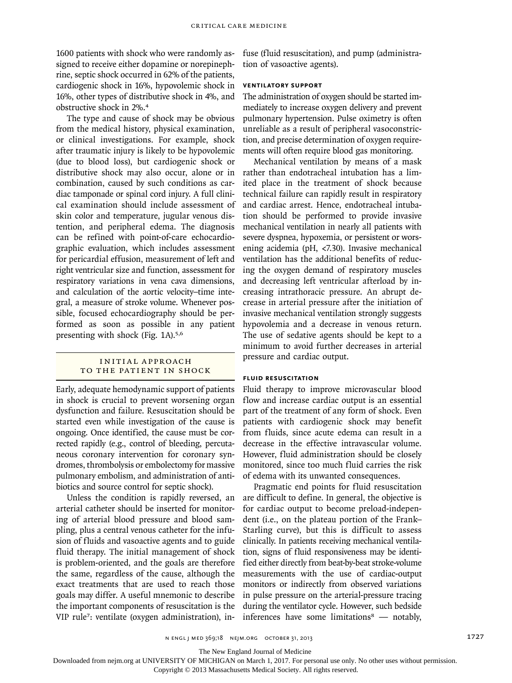1600 patients with shock who were randomly assigned to receive either dopamine or norepinephrine, septic shock occurred in 62% of the patients, cardiogenic shock in 16%, hypovolemic shock in 16%, other types of distributive shock in 4%, and obstructive shock in 2%.<sup>4</sup>

The type and cause of shock may be obvious from the medical history, physical examination, or clinical investigations. For example, shock after traumatic injury is likely to be hypovolemic (due to blood loss), but cardiogenic shock or distributive shock may also occur, alone or in combination, caused by such conditions as cardiac tamponade or spinal cord injury. A full clinical examination should include assessment of skin color and temperature, jugular venous distention, and peripheral edema. The diagnosis can be refined with point-of-care echocardiographic evaluation, which includes assessment for pericardial effusion, measurement of left and right ventricular size and function, assessment for respiratory variations in vena cava dimensions, and calculation of the aortic velocity–time integral, a measure of stroke volume. Whenever possible, focused echocardiography should be performed as soon as possible in any patient presenting with shock (Fig. 1A).5,6

## INITIAL APPROACH to the Patient in Shock

Early, adequate hemodynamic support of patients in shock is crucial to prevent worsening organ dysfunction and failure. Resuscitation should be started even while investigation of the cause is ongoing. Once identified, the cause must be corrected rapidly (e.g., control of bleeding, percutaneous coronary intervention for coronary syndromes, thrombolysis or embolectomy for massive pulmonary embolism, and administration of antibiotics and source control for septic shock).

Unless the condition is rapidly reversed, an arterial catheter should be inserted for monitoring of arterial blood pressure and blood sampling, plus a central venous catheter for the infusion of fluids and vasoactive agents and to guide fluid therapy. The initial management of shock is problem-oriented, and the goals are therefore the same, regardless of the cause, although the exact treatments that are used to reach those goals may differ. A useful mnemonic to describe the important components of resuscitation is the VIP rule7: ventilate (oxygen administration), infuse (fluid resuscitation), and pump (administration of vasoactive agents).

## **Ventilatory Support**

The administration of oxygen should be started immediately to increase oxygen delivery and prevent pulmonary hypertension. Pulse oximetry is often unreliable as a result of peripheral vasoconstriction, and precise determination of oxygen requirements will often require blood gas monitoring.

Mechanical ventilation by means of a mask rather than endotracheal intubation has a limited place in the treatment of shock because technical failure can rapidly result in respiratory and cardiac arrest. Hence, endotracheal intubation should be performed to provide invasive mechanical ventilation in nearly all patients with severe dyspnea, hypoxemia, or persistent or worsening acidemia (pH, <7.30). Invasive mechanical ventilation has the additional benefits of reducing the oxygen demand of respiratory muscles and decreasing left ventricular afterload by increasing intrathoracic pressure. An abrupt decrease in arterial pressure after the initiation of invasive mechanical ventilation strongly suggests hypovolemia and a decrease in venous return. The use of sedative agents should be kept to a minimum to avoid further decreases in arterial pressure and cardiac output.

## **Fluid Resuscitation**

Fluid therapy to improve microvascular blood flow and increase cardiac output is an essential part of the treatment of any form of shock. Even patients with cardiogenic shock may benefit from fluids, since acute edema can result in a decrease in the effective intravascular volume. However, fluid administration should be closely monitored, since too much fluid carries the risk of edema with its unwanted consequences.

Pragmatic end points for fluid resuscitation are difficult to define. In general, the objective is for cardiac output to become preload-independent (i.e., on the plateau portion of the Frank– Starling curve), but this is difficult to assess clinically. In patients receiving mechanical ventilation, signs of fluid responsiveness may be identified either directly from beat-by-beat stroke-volume measurements with the use of cardiac-output monitors or indirectly from observed variations in pulse pressure on the arterial-pressure tracing during the ventilator cycle. However, such bedside inferences have some limitations $\delta$  — notably,

n engl j med 369;18 nejm.org october 31, 2013 1727

The New England Journal of Medicine

Downloaded from nejm.org at UNIVERSITY OF MICHIGAN on March 1, 2017. For personal use only. No other uses without permission.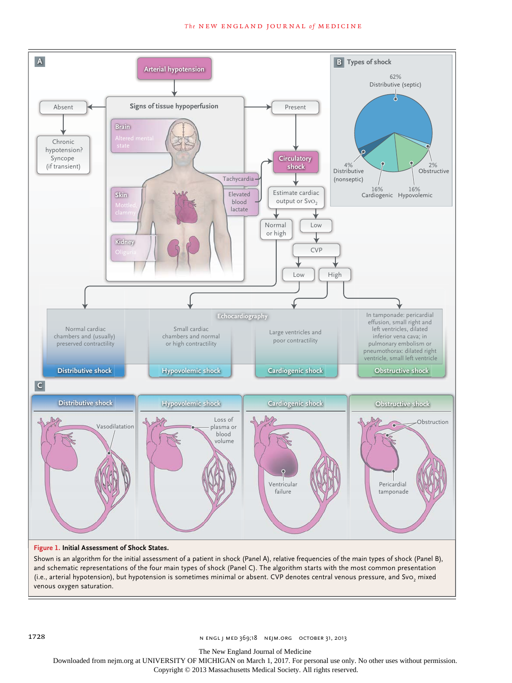#### **The NEW ENGLAND JOURNAL of MEDICINE**



# **Figure 1. Initial Assessment of Shock States.**

sure, ar and schematic representations of the four main types of shock (Panel C). The algorithm starts with the most common presentation (i.e., arterial hypotension), but hypotension is sometimes minimal or absent. CVP denotes central venous pressure, and Svo<sub>2</sub> mixed Shown is an algorithm for the initial assessment of a patient in shock (Panel A), relative frequencies of the main types of shock (Panel B), venous oxygen saturation.

ME

The New England Journal of Medicine

Downloaded from nejm.org at UNIVERSITY OF MICHIGAN on March 1, 2017. For personal use only. No other uses without permission.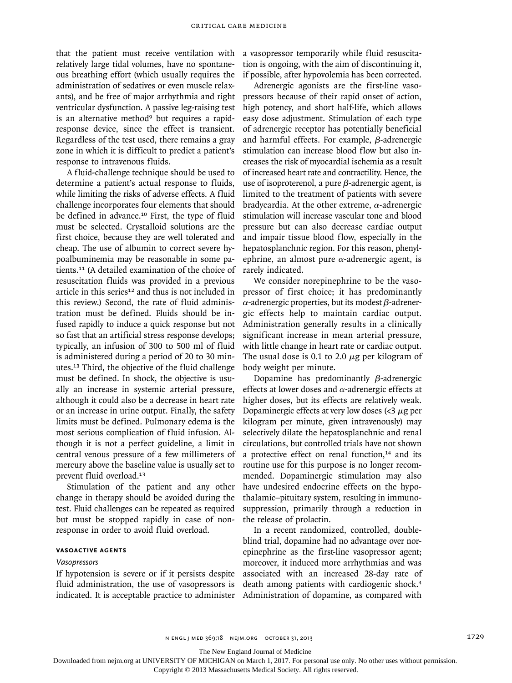that the patient must receive ventilation with relatively large tidal volumes, have no spontaneous breathing effort (which usually requires the administration of sedatives or even muscle relaxants), and be free of major arrhythmia and right ventricular dysfunction. A passive leg-raising test is an alternative method<sup>9</sup> but requires a rapidresponse device, since the effect is transient. Regardless of the test used, there remains a gray zone in which it is difficult to predict a patient's response to intravenous fluids.

A fluid-challenge technique should be used to determine a patient's actual response to fluids, while limiting the risks of adverse effects. A fluid challenge incorporates four elements that should be defined in advance.10 First, the type of fluid must be selected. Crystalloid solutions are the first choice, because they are well tolerated and cheap. The use of albumin to correct severe hypoalbuminemia may be reasonable in some patients.11 (A detailed examination of the choice of resuscitation fluids was provided in a previous article in this series<sup>12</sup> and thus is not included in this review.) Second, the rate of fluid administration must be defined. Fluids should be infused rapidly to induce a quick response but not so fast that an artificial stress response develops; typically, an infusion of 300 to 500 ml of fluid is administered during a period of 20 to 30 minutes.13 Third, the objective of the fluid challenge must be defined. In shock, the objective is usually an increase in systemic arterial pressure, although it could also be a decrease in heart rate or an increase in urine output. Finally, the safety limits must be defined. Pulmonary edema is the most serious complication of fluid infusion. Although it is not a perfect guideline, a limit in central venous pressure of a few millimeters of mercury above the baseline value is usually set to prevent fluid overload.<sup>13</sup>

Stimulation of the patient and any other change in therapy should be avoided during the test. Fluid challenges can be repeated as required but must be stopped rapidly in case of nonresponse in order to avoid fluid overload.

#### **Vasoactive Agents**

## *Vasopressors*

If hypotension is severe or if it persists despite fluid administration, the use of vasopressors is indicated. It is acceptable practice to administer

a vasopressor temporarily while fluid resuscitation is ongoing, with the aim of discontinuing it, if possible, after hypovolemia has been corrected.

Adrenergic agonists are the first-line vasopressors because of their rapid onset of action, high potency, and short half-life, which allows easy dose adjustment. Stimulation of each type of adrenergic receptor has potentially beneficial and harmful effects. For example, β-adrenergic stimulation can increase blood flow but also increases the risk of myocardial ischemia as a result of increased heart rate and contractility. Hence, the use of isoproterenol, a pure  $\beta$ -adrenergic agent, is limited to the treatment of patients with severe bradycardia. At the other extreme,  $\alpha$ -adrenergic stimulation will increase vascular tone and blood pressure but can also decrease cardiac output and impair tissue blood flow, especially in the hepatosplanchnic region. For this reason, phenylephrine, an almost pure  $\alpha$ -adrenergic agent, is rarely indicated.

We consider norepinephrine to be the vasopressor of first choice; it has predominantly α-adrenergic properties, but its modest β-adrenergic effects help to maintain cardiac output. Administration generally results in a clinically significant increase in mean arterial pressure, with little change in heart rate or cardiac output. The usual dose is 0.1 to 2.0  $\mu$ g per kilogram of body weight per minute.

Dopamine has predominantly  $\beta$ -adrenergic effects at lower doses and  $\alpha$ -adrenergic effects at higher doses, but its effects are relatively weak. Dopaminergic effects at very low doses  $\left($  < 3  $\mu$ g per kilogram per minute, given intravenously) may selectively dilate the hepatosplanchnic and renal circulations, but controlled trials have not shown a protective effect on renal function,<sup>14</sup> and its routine use for this purpose is no longer recommended. Dopaminergic stimulation may also have undesired endocrine effects on the hypothalamic–pituitary system, resulting in immunosuppression, primarily through a reduction in the release of prolactin.

In a recent randomized, controlled, doubleblind trial, dopamine had no advantage over norepinephrine as the first-line vasopressor agent; moreover, it induced more arrhythmias and was associated with an increased 28-day rate of death among patients with cardiogenic shock.<sup>4</sup> Administration of dopamine, as compared with

n engl j med 369;18 nejm.org october 31, 2013 1729

The New England Journal of Medicine

Downloaded from nejm.org at UNIVERSITY OF MICHIGAN on March 1, 2017. For personal use only. No other uses without permission.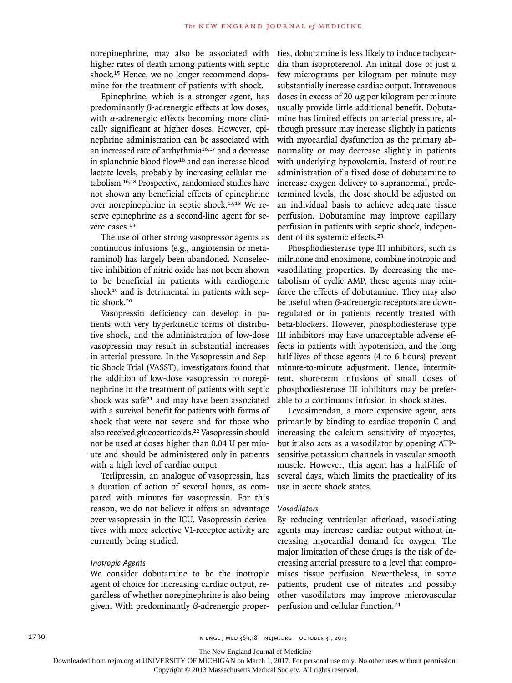norepinephrine, may also be associated with higher rates of death among patients with septic shock.15 Hence, we no longer recommend dopamine for the treatment of patients with shock.

Epinephrine, which is a stronger agent, has predominantly β-adrenergic effects at low doses, with  $\alpha$ -adrenergic effects becoming more clinically significant at higher doses. However, epinephrine administration can be associated with an increased rate of arrhythmia16,17 and a decrease in splanchnic blood flow<sup>16</sup> and can increase blood lactate levels, probably by increasing cellular metabolism.16,18 Prospective, randomized studies have not shown any beneficial effects of epinephrine over norepinephrine in septic shock.17,18 We reserve epinephrine as a second-line agent for severe cases.<sup>13</sup>

The use of other strong vasopressor agents as continuous infusions (e.g., angiotensin or metaraminol) has largely been abandoned. Nonselective inhibition of nitric oxide has not been shown to be beneficial in patients with cardiogenic shock<sup>19</sup> and is detrimental in patients with septic shock.<sup>20</sup>

Vasopressin deficiency can develop in patients with very hyperkinetic forms of distributive shock, and the administration of low-dose vasopressin may result in substantial increases in arterial pressure. In the Vasopressin and Septic Shock Trial (VASST), investigators found that the addition of low-dose vasopressin to norepinephrine in the treatment of patients with septic shock was safe<sup>21</sup> and may have been associated with a survival benefit for patients with forms of shock that were not severe and for those who also received glucocorticoids.<sup>22</sup> Vasopressin should not be used at doses higher than 0.04 U per minute and should be administered only in patients with a high level of cardiac output.

Terlipressin, an analogue of vasopressin, has a duration of action of several hours, as compared with minutes for vasopressin. For this reason, we do not believe it offers an advantage over vasopressin in the ICU. Vasopressin derivatives with more selective V1-receptor activity are currently being studied.

## *Inotropic Agents*

We consider dobutamine to be the inotropic agent of choice for increasing cardiac output, regardless of whether norepinephrine is also being given. With predominantly β-adrenergic proper-

ties, dobutamine is less likely to induce tachycardia than isoproterenol. An initial dose of just a few micrograms per kilogram per minute may substantially increase cardiac output. Intravenous doses in excess of 20  $\mu$ g per kilogram per minute usually provide little additional benefit. Dobutamine has limited effects on arterial pressure, although pressure may increase slightly in patients with myocardial dysfunction as the primary abnormality or may decrease slightly in patients with underlying hypovolemia. Instead of routine administration of a fixed dose of dobutamine to increase oxygen delivery to supranormal, predetermined levels, the dose should be adjusted on an individual basis to achieve adequate tissue perfusion. Dobutamine may improve capillary perfusion in patients with septic shock, independent of its systemic effects.<sup>23</sup>

Phosphodiesterase type III inhibitors, such as milrinone and enoximone, combine inotropic and vasodilating properties. By decreasing the metabolism of cyclic AMP, these agents may reinforce the effects of dobutamine. They may also be useful when β-adrenergic receptors are downregulated or in patients recently treated with beta-blockers. However, phosphodiesterase type III inhibitors may have unacceptable adverse effects in patients with hypotension, and the long half-lives of these agents (4 to 6 hours) prevent minute-to-minute adjustment. Hence, intermittent, short-term infusions of small doses of phosphodiesterase III inhibitors may be preferable to a continuous infusion in shock states.

Levosimendan, a more expensive agent, acts primarily by binding to cardiac troponin C and increasing the calcium sensitivity of myocytes, but it also acts as a vasodilator by opening ATPsensitive potassium channels in vascular smooth muscle. However, this agent has a half-life of several days, which limits the practicality of its use in acute shock states.

# *Vasodilators*

By reducing ventricular afterload, vasodilating agents may increase cardiac output without increasing myocardial demand for oxygen. The major limitation of these drugs is the risk of decreasing arterial pressure to a level that compromises tissue perfusion. Nevertheless, in some patients, prudent use of nitrates and possibly other vasodilators may improve microvascular perfusion and cellular function.<sup>24</sup>

The New England Journal of Medicine

Downloaded from nejm.org at UNIVERSITY OF MICHIGAN on March 1, 2017. For personal use only. No other uses without permission.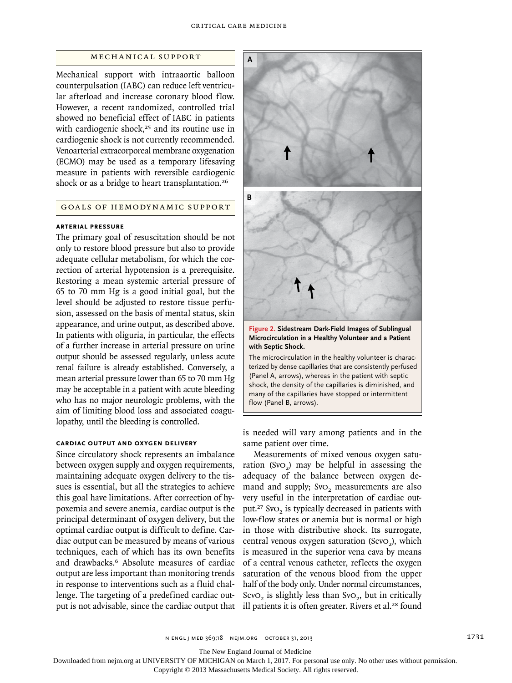# Mechanical Support

Mechanical support with intraaortic balloon counterpulsation (IABC) can reduce left ventricular afterload and increase coronary blood flow. However, a recent randomized, controlled trial showed no beneficial effect of IABC in patients with cardiogenic shock,<sup>25</sup> and its routine use in cardiogenic shock is not currently recommended. Venoarterial extracorporeal membrane oxygenation (ECMO) may be used as a temporary lifesaving measure in patients with reversible cardiogenic shock or as a bridge to heart transplantation.<sup>26</sup>

## Goals of Hemodynamic Support

## **Arterial Pressure**

The primary goal of resuscitation should be not only to restore blood pressure but also to provide adequate cellular metabolism, for which the correction of arterial hypotension is a prerequisite. Restoring a mean systemic arterial pressure of 65 to 70 mm Hg is a good initial goal, but the level should be adjusted to restore tissue perfusion, assessed on the basis of mental status, skin appearance, and urine output, as described above. In patients with oliguria, in particular, the effects of a further increase in arterial pressure on urine output should be assessed regularly, unless acute renal failure is already established. Conversely, a mean arterial pressure lower than 65 to 70 mm Hg may be acceptable in a patient with acute bleeding who has no major neurologic problems, with the aim of limiting blood loss and associated coagulopathy, until the bleeding is controlled.

# **Cardiac Output and Oxygen Delivery**

Since circulatory shock represents an imbalance between oxygen supply and oxygen requirements, maintaining adequate oxygen delivery to the tissues is essential, but all the strategies to achieve this goal have limitations. After correction of hypoxemia and severe anemia, cardiac output is the principal determinant of oxygen delivery, but the optimal cardiac output is difficult to define. Cardiac output can be measured by means of various techniques, each of which has its own benefits and drawbacks.<sup>6</sup> Absolute measures of cardiac output are less important than monitoring trends in response to interventions such as a fluid challenge. The targeting of a predefined cardiac output is not advisable, since the cardiac output that ill patients it is often greater. Rivers et al.<sup>28</sup> found



The microcirculation in the healthy volunteer is characterized by dense capillaries that are consistently perfused (Panel A, arrows), whereas in the patient with septic shock, the density of the capillaries is diminished, and many of the capillaries have stopped or intermittent flow (Panel B, arrows).

is needed will vary among patients and in the same patient over time.

Measurements of mixed venous oxygen saturation (SvO<sub>2</sub>) may be helpful in assessing the adequacy of the balance between oxygen demand and supply; SvO<sub>2</sub> measurements are also very useful in the interpretation of cardiac output.<sup>27</sup> SvO<sub>2</sub> is typically decreased in patients with low-flow states or anemia but is normal or high in those with distributive shock. Its surrogate, central venous oxygen saturation (ScvO<sub>2</sub>), which is measured in the superior vena cava by means of a central venous catheter, reflects the oxygen saturation of the venous blood from the upper half of the body only. Under normal circumstances, ScvO<sub>2</sub> is slightly less than  $Svo<sub>2</sub>$ , but in critically

The New England Journal of Medicine

Downloaded from nejm.org at UNIVERSITY OF MICHIGAN on March 1, 2017. For personal use only. No other uses without permission.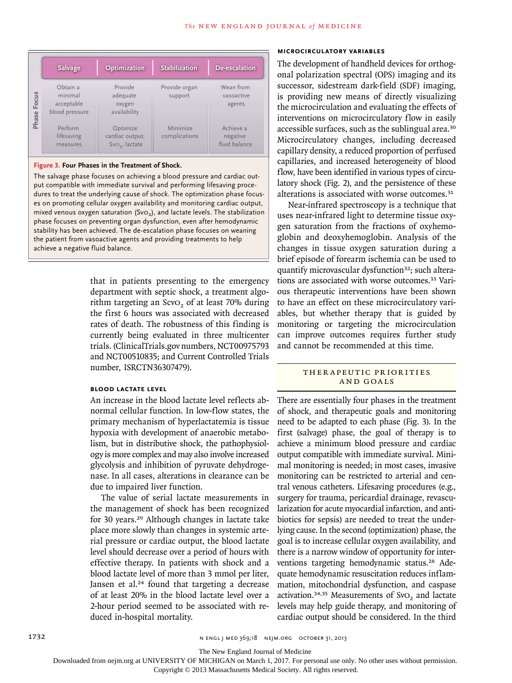|                | <b>Salvage</b>                                      | <b>Optimization</b>                                       | <b>Stabilization</b>      | De-escalation                          |
|----------------|-----------------------------------------------------|-----------------------------------------------------------|---------------------------|----------------------------------------|
| Focus<br>Phase | Obtain a<br>minimal<br>acceptable<br>blood pressure | Provide<br>adequate<br>oxygen<br>availability             | Provide organ<br>support  | Wean from<br>vasoactive<br>agents      |
|                | Perform<br>lifesaving<br>measures                   | Optimize<br>cardiac output,<br>Svo <sub>2</sub> , lactate | Minimize<br>complications | Achieve a<br>negative<br>fluid balance |

#### **Figure 3. Four Phases in the Treatment of Shock.**

dures to treat the underlying cause of shock. The optimization phase focusphase focuses on preventing organ dysfunction, even after hemodynamic ac outthe patient from vasoactive agents and providing treatments to help Author es on promoting cellular oxygen availability and monitoring cardiac output, mixed venous oxygen saturation (Svo $_2$ ), and lactate levels. The stabilization stability has been achieved. The de-escalation phase focuses on weaning The salvage phase focuses on achieving a blood pressure and cardiac out- $\frac{33616}{1}$ put compatible with immediate survival and performing lifesaving proceachieve a negative fluid balance.

> that in patients presenting to the emergency department with septic shock, a treatment algorithm targeting an ScvO<sub>2</sub> of at least  $70\%$  during the first 6 hours was associated with decreased rates of death. The robustness of this finding is currently being evaluated in three multicenter trials. (ClinicalTrials.gov numbers, NCT00975793 and NCT00510835; and Current Controlled Trials number, ISRCTN36307479).

## **Blood Lactate Level**

An increase in the blood lactate level reflects abnormal cellular function. In low-flow states, the primary mechanism of hyperlactatemia is tissue hypoxia with development of anaerobic metabolism, but in distributive shock, the pathophysiology is more complex and may also involve increased glycolysis and inhibition of pyruvate dehydrogenase. In all cases, alterations in clearance can be due to impaired liver function.

The value of serial lactate measurements in the management of shock has been recognized for 30 years.29 Although changes in lactate take place more slowly than changes in systemic arterial pressure or cardiac output, the blood lactate level should decrease over a period of hours with effective therapy. In patients with shock and a blood lactate level of more than 3 mmol per liter, Jansen et al.<sup>24</sup> found that targeting a decrease of at least 20% in the blood lactate level over a 2-hour period seemed to be associated with reduced in-hospital mortality.

## **Microcirculatory Variables**

The development of handheld devices for orthogonal polarization spectral (OPS) imaging and its successor, sidestream dark-field (SDF) imaging, is providing new means of directly visualizing the microcirculation and evaluating the effects of interventions on microcirculatory flow in easily accessible surfaces, such as the sublingual area.<sup>30</sup> Microcirculatory changes, including decreased capillary density, a reduced proportion of perfused capillaries, and increased heterogeneity of blood flow, have been identified in various types of circulatory shock (Fig. 2), and the persistence of these alterations is associated with worse outcomes.<sup>31</sup>

Near-infrared spectroscopy is a technique that uses near-infrared light to determine tissue oxygen saturation from the fractions of oxyhemoglobin and deoxyhemoglobin. Analysis of the changes in tissue oxygen saturation during a brief episode of forearm ischemia can be used to quantify microvascular dysfunction<sup>32</sup>; such alterations are associated with worse outcomes.<sup>33</sup> Various therapeutic interventions have been shown to have an effect on these microcirculatory variables, but whether therapy that is guided by monitoring or targeting the microcirculation can improve outcomes requires further study and cannot be recommended at this time.

## THERAPEUTIC PRIORITIES and Goals

There are essentially four phases in the treatment of shock, and therapeutic goals and monitoring need to be adapted to each phase (Fig. 3). In the first (salvage) phase, the goal of therapy is to achieve a minimum blood pressure and cardiac output compatible with immediate survival. Minimal monitoring is needed; in most cases, invasive monitoring can be restricted to arterial and central venous catheters. Lifesaving procedures (e.g., surgery for trauma, pericardial drainage, revascularization for acute myocardial infarction, and antibiotics for sepsis) are needed to treat the underlying cause. In the second (optimization) phase, the goal is to increase cellular oxygen availability, and there is a narrow window of opportunity for interventions targeting hemodynamic status.<sup>28</sup> Adequate hemodynamic resuscitation reduces inflammation, mitochondrial dysfunction, and caspase activation. $34,35$  Measurements of SvO<sub>2</sub> and lactate levels may help guide therapy, and monitoring of cardiac output should be considered. In the third

The New England Journal of Medicine

Downloaded from nejm.org at UNIVERSITY OF MICHIGAN on March 1, 2017. For personal use only. No other uses without permission.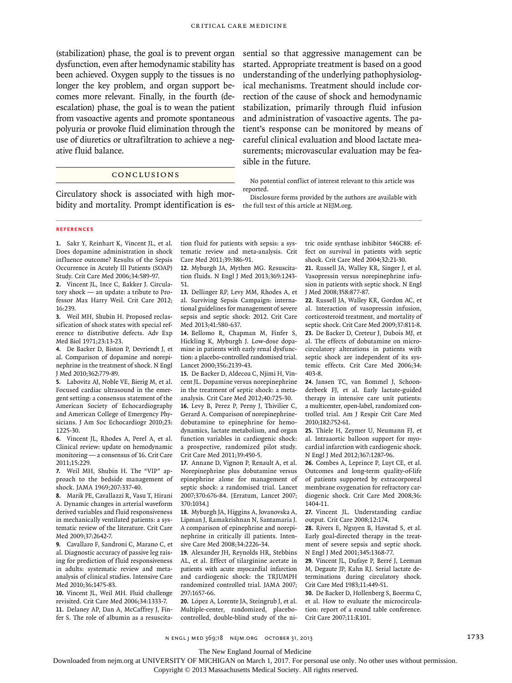(stabilization) phase, the goal is to prevent organ dysfunction, even after hemodynamic stability has been achieved. Oxygen supply to the tissues is no longer the key problem, and organ support becomes more relevant. Finally, in the fourth (deescalation) phase, the goal is to wean the patient from vasoactive agents and promote spontaneous polyuria or provoke fluid elimination through the use of diuretics or ultrafiltration to achieve a negative fluid balance.

## Conclusions

Circulatory shock is associated with high morbidity and mortality. Prompt identification is essential so that aggressive management can be started. Appropriate treatment is based on a good understanding of the underlying pathophysiological mechanisms. Treatment should include correction of the cause of shock and hemodynamic stabilization, primarily through fluid infusion and administration of vasoactive agents. The patient's response can be monitored by means of careful clinical evaluation and blood lactate measurements; microvascular evaluation may be feasible in the future.

No potential conflict of interest relevant to this article was reported.

Disclosure forms provided by the authors are available with the full text of this article at NEJM.org.

#### **References**

**1.** Sakr Y, Reinhart K, Vincent JL, et al. Does dopamine administration in shock influence outcome? Results of the Sepsis Occurrence in Acutely Ill Patients (SOAP) Study. Crit Care Med 2006;34:589-97.

**2.** Vincent JL, Ince C, Bakker J. Circulatory shock — an update: a tribute to Professor Max Harry Weil. Crit Care 2012; 16:239.

**3.** Weil MH, Shubin H. Proposed reclassification of shock states with special reference to distributive defects. Adv Exp Med Biol 1971;23:13-23.

**4.** De Backer D, Biston P, Devriendt J, et al. Comparison of dopamine and norepinephrine in the treatment of shock. N Engl J Med 2010;362:779-89.

**5.** Labovitz AJ, Noble VE, Bierig M, et al. Focused cardiac ultrasound in the emergent setting: a consensus statement of the American Society of Echocardiography and American College of Emergency Physicians. J Am Soc Echocardiogr 2010;23: 1225-30.

**6.** Vincent JL, Rhodes A, Perel A, et al. Clinical review: update on hemodynamic monitoring — a consensus of 16. Crit Care 2011;15:229.

**7.** Weil MH, Shubin H. The "VIP" approach to the bedside management of shock. JAMA 1969;207:337-40.

**8.** Marik PE, Cavallazzi R, Vasu T, Hirani A. Dynamic changes in arterial waveform derived variables and fluid responsiveness in mechanically ventilated patients: a systematic review of the literature. Crit Care Med 2009;37:2642-7.

**9.** Cavallaro F, Sandroni C, Marano C, et al. Diagnostic accuracy of passive leg raising for prediction of fluid responsiveness in adults: systematic review and metaanalysis of clinical studies. Intensive Care Med 2010;36:1475-83.

**10.** Vincent JL, Weil MH. Fluid challenge revisited. Crit Care Med 2006;34:1333-7. **11.** Delaney AP, Dan A, McCaffrey J, Finfer S. The role of albumin as a resuscitation fluid for patients with sepsis: a systematic review and meta-analysis. Crit Care Med 2011;39:386-91.

**12.** Myburgh JA, Mythen MG. Resuscitation fluids. N Engl J Med 2013;369:1243- 51.

**13.** Dellinger RP, Levy MM, Rhodes A, et al. Surviving Sepsis Campaign: international guidelines for management of severe sepsis and septic shock: 2012. Crit Care Med 2013;41:580-637.

**14.** Bellomo R, Chapman M, Finfer S, Hickling K, Myburgh J. Low-dose dopamine in patients with early renal dysfunction: a placebo-controlled randomised trial. Lancet 2000;356:2139-43.

**15.** De Backer D, Aldecoa C, Njimi H, Vincent JL. Dopamine versus norepinephrine in the treatment of septic shock: a metaanalysis. Crit Care Med 2012;40:725-30. **16.** Levy B, Perez P, Perny J, Thivilier C, Gerard A. Comparison of norepinephrinedobutamine to epinephrine for hemodynamics, lactate metabolism, and organ function variables in cardiogenic shock: a prospective, randomized pilot study. Crit Care Med 2011;39:450-5.

**17.** Annane D, Vignon P, Renault A, et al. Norepinephrine plus dobutamine versus epinephrine alone for management of septic shock: a randomised trial. Lancet 2007;370:676-84. [Erratum, Lancet 2007; 370:1034.]

**18.** Myburgh JA, Higgins A, Jovanovska A, Lipman J, Ramakrishnan N, Santamaria J. A comparison of epinephrine and norepinephrine in critically ill patients. Intensive Care Med 2008;34:2226-34.

**19.** Alexander JH, Reynolds HR, Stebbins AL, et al. Effect of tilarginine acetate in patients with acute myocardial infarction and cardiogenic shock: the TRIUMPH randomized controlled trial. JAMA 2007; 297:1657-66.

**20.** López A, Lorente JA, Steingrub J, et al. Multiple-center, randomized, placebocontrolled, double-blind study of the nitric oxide synthase inhibitor 546C88: effect on survival in patients with septic shock. Crit Care Med 2004;32:21-30.

**21.** Russell JA, Walley KR, Singer J, et al. Vasopressin versus norepinephrine infusion in patients with septic shock. N Engl J Med 2008;358:877-87.

**22.** Russell JA, Walley KR, Gordon AC, et al. Interaction of vasopressin infusion, corticosteroid treatment, and mortality of septic shock. Crit Care Med 2009;37:811-8. **23.** De Backer D, Creteur J, Dubois MJ, et al. The effects of dobutamine on microcirculatory alterations in patients with septic shock are independent of its systemic effects. Crit Care Med 2006;34: 403-8.

**24.** Jansen TC, van Bommel J, Schoonderbeek FJ, et al. Early lactate-guided therapy in intensive care unit patients: a multicenter, open-label, randomized controlled trial. Am J Respir Crit Care Med 2010;182:752-61.

**25.** Thiele H, Zeymer U, Neumann FJ, et al. Intraaortic balloon support for myocardial infarction with cardiogenic shock. N Engl J Med 2012;367:1287-96.

**26.** Combes A, Leprince P, Luyt CE, et al. Outcomes and long-term quality-of-life of patients supported by extracorporeal membrane oxygenation for refractory cardiogenic shock. Crit Care Med 2008;36: 1404-11.

**27.** Vincent JL. Understanding cardiac output. Crit Care 2008;12:174.

**28.** Rivers E, Nguyen B, Havstad S, et al. Early goal-directed therapy in the treatment of severe sepsis and septic shock. N Engl J Med 2001;345:1368-77.

**29.** Vincent JL, Dufaye P, Berré J, Leeman M, Degaute JP, Kahn RJ. Serial lactate determinations during circulatory shock. Crit Care Med 1983;11:449-51.

**30.** De Backer D, Hollenberg S, Boerma C, et al. How to evaluate the microcirculation: report of a round table conference. Crit Care 2007;11:R101.

n engl j med 369;18 nejm.org october 31, 2013 1793 1793

The New England Journal of Medicine

Downloaded from nejm.org at UNIVERSITY OF MICHIGAN on March 1, 2017. For personal use only. No other uses without permission.